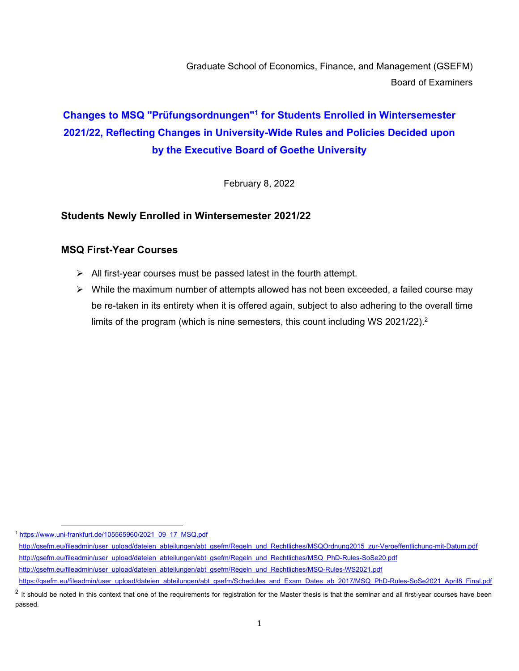Graduate School of Economics, Finance, and Management (GSEFM) Board of Examiners

# **Changes to MSQ "Prüfungsordnungen"1 for Students Enrolled in Wintersemester 2021/22, Reflecting Changes in University-Wide Rules and Policies Decided upon by the Executive Board of Goethe University**

February 8, 2022

#### **Students Newly Enrolled in Wintersemester 2021/22**

#### **MSQ First-Year Courses**

- $\triangleright$  All first-year courses must be passed latest in the fourth attempt.
- $\triangleright$  While the maximum number of attempts allowed has not been exceeded, a failed course may be re-taken in its entirety when it is offered again, subject to also adhering to the overall time limits of the program (which is nine semesters, this count including WS 2021/22).<sup>2</sup>

<sup>1</sup> https://www.uni-frankfurt.de/105565960/2021\_09\_17\_MSQ.pdf

http://gsefm.eu/fileadmin/user\_upload/dateien\_abteilungen/abt\_gsefm/Regeln\_und\_Rechtliches/MSQOrdnung2015\_zur-Veroeffentlichung-mit-Datum.pdf http://gsefm.eu/fileadmin/user\_upload/dateien\_abteilungen/abt\_gsefm/Regeln\_und\_Rechtliches/MSQ\_PhD-Rules-SoSe20.pdf http://gsefm.eu/fileadmin/user\_upload/dateien\_abteilungen/abt\_gsefm/Regeln\_und\_Rechtliches/MSQ-Rules-WS2021.pdf https://gsefm.eu/fileadmin/user\_upload/dateien\_abteilungen/abt\_gsefm/Schedules\_and\_Exam\_Dates\_ab\_2017/MSQ\_PhD-Rules-SoSe2021\_April8\_Final.pdf

 $2$  It should be noted in this context that one of the requirements for registration for the Master thesis is that the seminar and all first-year courses have been passed.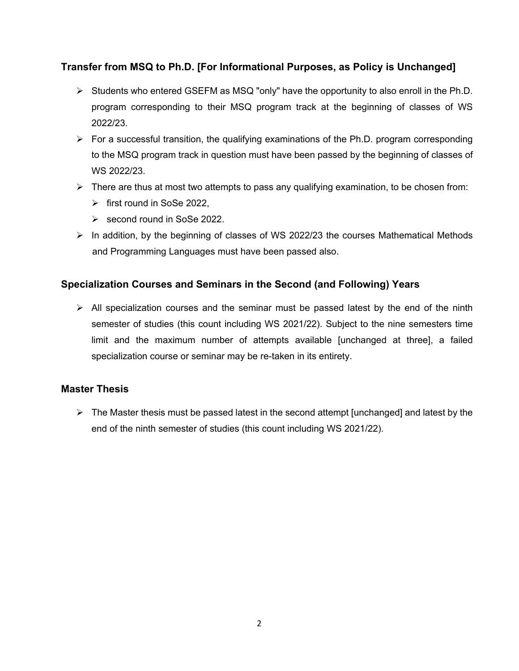## **Transfer from MSQ to Ph.D. [For Informational Purposes, as Policy is Unchanged]**

- $\triangleright$  Students who entered GSEFM as MSQ "only" have the opportunity to also enroll in the Ph.D. program corresponding to their MSQ program track at the beginning of classes of WS 2022/23.
- $\triangleright$  For a successful transition, the qualifying examinations of the Ph.D. program corresponding to the MSQ program track in question must have been passed by the beginning of classes of WS 2022/23.
- $\triangleright$  There are thus at most two attempts to pass any qualifying examination, to be chosen from:
	- $\triangleright$  first round in SoSe 2022.
	- $\ge$  second round in SoSe 2022.
- $\triangleright$  In addition, by the beginning of classes of WS 2022/23 the courses Mathematical Methods and Programming Languages must have been passed also.

## **Specialization Courses and Seminars in the Second (and Following) Years**

 $\triangleright$  All specialization courses and the seminar must be passed latest by the end of the ninth semester of studies (this count including WS 2021/22). Subject to the nine semesters time limit and the maximum number of attempts available [unchanged at three], a failed specialization course or seminar may be re-taken in its entirety.

## **Master Thesis**

 $\triangleright$  The Master thesis must be passed latest in the second attempt [unchanged] and latest by the end of the ninth semester of studies (this count including WS 2021/22).